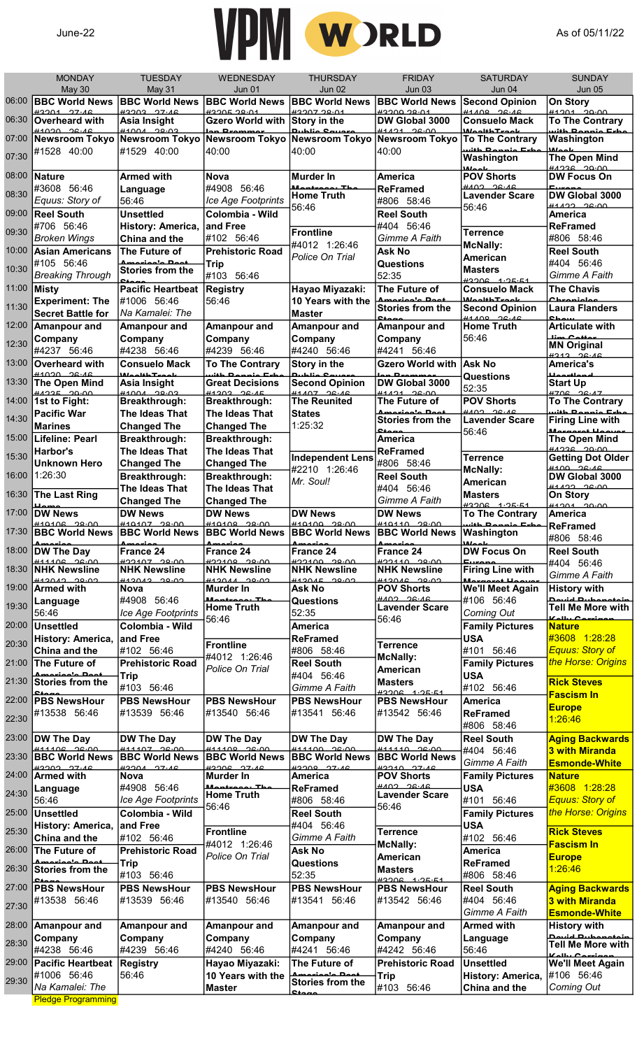

|       | <b>MONDAY</b>                                                  | <b>TUESDAY</b>                                    | WEDNESDAY                                                | <b>THURSDAY</b>                           | <b>FRIDAY</b>                                   | <b>SATURDAY</b>                             | <b>SUNDAY</b>                                                   |
|-------|----------------------------------------------------------------|---------------------------------------------------|----------------------------------------------------------|-------------------------------------------|-------------------------------------------------|---------------------------------------------|-----------------------------------------------------------------|
| 06:00 | May 30<br><b>BBC World News</b>                                | May 31<br><b>BBC World News</b>                   | <b>Jun 01</b><br><b>BBC World News</b>                   | <b>Jun 02</b><br><b>BBC World News</b>    | <b>Jun 03</b><br><b>BBC World News</b>          | Jun 04<br><b>Second Opinion</b>             | <b>Jun 05</b><br>On Story                                       |
| 06:30 | H2201 27.16<br><b>Overheard with</b>                           | <b>ADOCC COCCH</b><br>Asia Insight                | <b>ACCO 30004</b><br><b>Gzero World with</b>             | <b>HOOD TOOL #P</b><br>Story in the       | <u>2000 20.01</u><br>DW Global 3000             | 41100 26.16<br><b>Consuelo Mack</b>         | <b>41201 20.00</b><br><b>To The Contrary</b>                    |
| 07:00 | H1020 26.46<br><b>Newsroom Tokyo</b>                           | H10010000<br><b>Newsroom Tokyo</b>                | Newsroom Tokyo                                           | مناحاتها<br>Newsroom Tokyo                | 41121200<br><b>Newsroom Tokyo</b>               | Maalika Taaala<br><b>To The Contrary</b>    | مطعات منصمد ما النبر<br>Washington                              |
| 07:30 | #1528 40:00                                                    | #1529 40:00                                       | 40:00                                                    | 40:00                                     | 40:00                                           | with Dannia Esha<br>Washington              | علممان<br>The Open Mind                                         |
|       |                                                                |                                                   |                                                          |                                           |                                                 | علممان                                      | <u> AA.OS 20.00 M</u>                                           |
| 08:00 | <b>Nature</b><br>#3608 56:46                                   | <b>Armed with</b><br>Language                     | <b>Nova</b><br>#4908 56:46                               | <b>Murder In</b><br>Mantraga, The         | <b>America</b><br><b>ReFramed</b>               | <b>POV Shorts</b><br>$HAO2$ $26.16$         | <b>DW Focus On</b><br><b>Europe</b>                             |
| 08:30 | Equus: Story of                                                | 56:46                                             | Ice Age Footprints                                       | <b>Home Truth</b><br>56:46                | #806 58:46                                      | <b>Lavender Scare</b><br>56:46              | DW Global 3000<br>H1122 200                                     |
| 09:00 | <b>Reel South</b><br>#706 56:46                                | <b>Unsettled</b>                                  | Colombia - Wild<br>and Free                              |                                           | <b>Reel South</b><br>#404 56:46                 |                                             | <b>America</b><br><b>ReFramed</b>                               |
| 09:30 | <b>Broken Wings</b>                                            | History: America,<br>China and the                | #102 56:46                                               | <b>Frontline</b>                          | Gimme A Faith                                   | <b>Terrence</b>                             | #806 58:46                                                      |
| 10:00 | <b>Asian Americans</b>                                         | The Future of                                     | <b>Prehistoric Road</b>                                  | #4012 1:26:46<br>Police On Trial          | <b>Ask No</b>                                   | <b>McNally:</b><br>American                 | <b>Reel South</b>                                               |
| 10:30 | #105 56:46<br><b>Breaking Through</b>                          | Amaxiaala Daat<br>Stories from the                | <b>Trip</b><br>#103 56:46                                |                                           | Questions<br>52:35                              | <b>Masters</b>                              | #404 56:46<br>Gimme A Faith                                     |
| 11:00 | <b>Misty</b>                                                   | مەھ<br><b>Pacific Heartbeat</b>                   | <b>Registry</b>                                          | Hayao Miyazaki:                           | The Future of                                   | $H2206$ $1.25.51$<br><b>Consuelo Mack</b>   | <b>The Chavis</b>                                               |
| 11:30 | <b>Experiment: The</b>                                         | #1006 56:46                                       | 56:46                                                    | 10 Years with the                         | <b>Stories from the</b>                         | <i>ManbhTunnle</i><br><b>Second Opinion</b> | مملمنممعما<br><b>Laura Flanders</b>                             |
| 12:00 | <b>Secret Battle for</b><br><b>Amanpour and</b>                | Na Kamalei: The<br><b>Amanpour and</b>            | Amanpour and                                             | <b>Master</b><br>Amanpour and             | منه<br>Amanpour and                             | 41100 26.16<br><b>Home Truth</b>            | متمناه<br><b>Articulate with</b>                                |
| 12:30 | Company                                                        | Company                                           | Company                                                  | Company                                   | Company                                         | 56:46                                       | <b>Line Cotton</b>                                              |
|       | #4237 56:46                                                    | #4238 56:46                                       | #4239 56:46                                              | #4240 56:46                               | #4241 56:46                                     |                                             | <b>MN Original</b><br>4212 22.16                                |
| 13:00 | <b>Overheard with</b><br><b>41020 26.16</b>                    | <b>Consuelo Mack</b><br>Maalik <mark>tuaak</mark> | <b>To The Contrary</b><br>uith Dannia Esh                | <b>Story in the</b><br>مع مناطبیه         | <b>Gzero World with</b><br><b>Lon Desmanae</b>  | Ask No<br>Questions                         | <b>America's</b><br>للممتعلم فالمستقل                           |
| 13:30 | The Open Mind<br>$\frac{\mu}{\mu}$                             | <b>Asia Insight</b>                               | <b>Great Decisions</b><br>41202225                       | <b>Second Opinion</b><br>$#1407$ $96.46$  | DW Global 3000<br>41121200                      | 52:35                                       | <b>Start Up</b><br>H708 28.17                                   |
| 14:00 | 1st to Fight:                                                  | Breakthrough:                                     | Breakthrough:                                            | <b>The Reunited</b>                       | The Future of<br>Amariaala Daat                 | <b>POV Shorts</b><br>HAO2, 26.16            | <b>To The Contrary</b><br>ما <mark>ستا. من</mark> مسم 10 ماغنید |
| 14:30 | <b>Pacific War</b><br><b>Marines</b>                           | The Ideas That<br><b>Changed The</b>              | The Ideas That<br><b>Changed The</b>                     | <b>States</b><br>1:25:32                  | Stories from the<br>$C_{\text{f} \text{max}}$   | <b>Lavender Scare</b>                       | <b>Firing Line with</b><br>Monocana LL                          |
| 15:00 | <b>Lifeline: Pearl</b>                                         | Breakthrough:                                     | Breakthrough:                                            |                                           | <b>America</b>                                  | 56:46                                       | The Open Mind                                                   |
| 15:30 | Harbor's<br><b>Unknown Hero</b>                                | The Ideas That<br><b>Changed The</b>              | The Ideas That<br><b>Changed The</b>                     | <b>Independent Lens</b>                   | <b>ReFramed</b><br>#806 58:46                   | <b>Terrence</b>                             | <u> Anno 2000 H</u><br><b>Getting Dot Older</b>                 |
| 16:00 | 1:26:30                                                        | Breakthrough:                                     | Breakthrough:                                            | #2210 1:26:46                             | <b>Reel South</b>                               | <b>McNally:</b>                             | $H100 - 26.16$<br>DW Global 3000                                |
| 16:30 | <b>The Last Ring</b>                                           | The Ideas That                                    | The Ideas That                                           | Mr. Soul!                                 | #404 56:46                                      | American<br><b>Masters</b>                  | 0.500<br>On Story                                               |
| 17:00 | سملنا<br><b>DW News</b>                                        | <b>Changed The</b><br><b>DW News</b>              | <b>Changed The</b><br><b>DW News</b>                     | <b>DW News</b>                            | Gimme A Faith<br><b>DW News</b>                 | $#3206 + 1.25.51$<br><b>To The Contrary</b> | $\frac{44204}{20.00}$<br><b>America</b>                         |
| 17:30 | $\frac{440406}{20.00}$<br><b>BBC World News BBC World News</b> | $\frac{\#40407}{\#40400}$                         | $H10100 - 20.00$<br><b>BBC World News BBC World News</b> | $+10100 - 2000$                           | $\frac{440440}{20.00}$<br><b>BBC World News</b> | with Dannie Erhe<br>Washington              | <b>ReFramed</b>                                                 |
| 18:00 | حمنعممك<br>DW The Day                                          | ممتعمده<br>France 24                              | ممتعمده                                                  | حمنسمدك                                   | ممنعمعه<br>France 24                            | الممالك                                     | #806 58:46                                                      |
|       | $#11106 - 26.00$                                               | 00.00 COLCCH                                      | <b>France 24</b><br>00.00 00.00                          | <b>France 24</b><br><u>ممنقط ممدوحته</u>  | 100.00 0110.00                                  | DW Focus On<br>Europe                       | <b>Reel South</b><br>#404 56:46                                 |
| 18:30 | <b>NHK Newsline</b><br>H120122000                              | <b>NHK Newsline</b><br><b>ALONA CAOCHH</b>        | <b>NHK Newsline</b><br>$\frac{112011}{20000}$            | <b>NHK Newsline</b><br>H120152000         | <b>NHK Newsline</b><br>$H12018$ 20.02           | <b>Firing Line with</b><br>Monaceat Hoo     | Gimme A Faith                                                   |
| 19:00 | <b>Armed with</b><br>Language                                  | Nova<br>#4908 56:46                               | Murder In<br>Mantroon, The                               | Ask No<br><b>Questions</b>                | <b>POV Shorts</b><br>HAO2 26.16                 | <b>We'll Meet Again</b><br>#106 56:46       | <b>History with</b><br><b>Douid Dubonatoin</b>                  |
| 19:30 | 56:46                                                          | Ice Age Footprints                                | <b>Home Truth</b><br>56:46                               | 52:35                                     | <b>Lavender Scare</b><br>56:46                  | Coming Out                                  | Tell Me More with<br>Kally Carriera                             |
| 20:00 | <b>Unsettled</b>                                               | Colombia - Wild<br>and Free                       |                                                          | <b>America</b>                            |                                                 | <b>Family Pictures</b>                      | <b>Nature</b><br>#3608 1:28:28                                  |
| 20:30 | History: America,<br>China and the                             | #102 56:46                                        | <b>Frontline</b>                                         | <b>ReFramed</b><br>#806 58:46             | <b>Terrence</b>                                 | <b>USA</b><br>#101 56:46                    | <b>Equus: Story of</b>                                          |
| 21:00 | The Future of                                                  | <b>Prehistoric Road</b>                           | #4012 1:26:46<br>Police On Trial                         | <b>Reel South</b>                         | <b>McNally:</b><br>American                     | <b>Family Pictures</b>                      | the Horse: Origins                                              |
| 21:30 | Amariaa'a Daat<br><b>Stories from the</b>                      | <b>Trip</b><br>#103 56:46                         |                                                          | #404 56:46<br>Gimme A Faith               | <b>Masters</b>                                  | <b>USA</b><br>#102 56:46                    | <b>Rick Steves</b>                                              |
| 22:00 | $C_{\frac{t}{t}}$<br><b>PBS NewsHour</b>                       | <b>PBS NewsHour</b>                               | <b>PBS NewsHour</b>                                      | <b>PBS NewsHour</b>                       | $H2206$ $1.25.51$<br><b>PBS NewsHour</b>        | America                                     | <b>Fascism In</b>                                               |
| 22:30 | #13538 56:46                                                   | #13539 56:46                                      | #13540 56:46                                             | #13541 56:46                              | #13542 56:46                                    | ReFramed                                    | <b>Europe</b><br>1:26:46                                        |
| 23:00 | <b>DW The Day</b>                                              | DW The Day                                        | DW The Day                                               | <b>DW The Day</b>                         | DW The Day                                      | #806 58:46<br><b>Reel South</b>             | <b>Aging Backwards</b>                                          |
| 23:30 | 0.000<br><b>BBC World News</b>                                 | 0.007<br><b>BBC World News</b>                    | 0.00000<br><b>BBC World News</b>                         | 411100 2600<br><b>BBC World News</b>      | $\frac{444440}{26.00}$<br><b>BBC World News</b> | #404 56:46                                  | <b>3 with Miranda</b>                                           |
| 24:00 | <b>ADOCO COCCH</b><br><b>Armed with</b>                        | $H220A$ $27.46$<br>Nova                           | $42206$ $27.16$<br>Murder In                             | H2000 27.46<br>America                    | $\frac{1}{2}$ 210 27.16<br><b>POV Shorts</b>    | Gimme A Faith<br><b>Family Pictures</b>     | <b>Esmonde-White</b><br><b>Nature</b>                           |
| 24:30 | Language                                                       | #4908 56:46                                       | Mantraan Tha                                             | <b>ReFramed</b>                           | HAO2 26.16                                      | <b>USA</b>                                  | #3608 1:28:28                                                   |
|       | 56:46                                                          | Ice Age Footprints                                | <b>Home Truth</b><br>56:46                               | #806 58:46                                | <b>Lavender Scare</b><br>56:46                  | #101 56:46                                  | <b>Equus: Story of</b>                                          |
| 25:00 | <b>Unsettled</b><br>History: America,                          | Colombia - Wild<br>and Free                       |                                                          | <b>Reel South</b><br>#404 56:46           |                                                 | <b>Family Pictures</b><br><b>USA</b>        | the Horse: Origins                                              |
| 25:30 | <b>China and the</b>                                           | #102 56:46                                        | <b>Frontline</b><br>#4012 1:26:46                        | Gimme A Faith                             | <b>Terrence</b>                                 | #102 56:46                                  | <b>Rick Steves</b><br><b>Fascism In</b>                         |
| 26:00 | The Future of<br>Amariaala Daat                                | <b>Prehistoric Road</b>                           | Police On Trial                                          | <b>Ask No</b>                             | <b>McNally:</b><br>American                     | <b>America</b>                              | <b>Europe</b>                                                   |
| 26:30 | <b>Stories from the</b>                                        | <b>Trip</b><br>#103 56:46                         |                                                          | <b>Questions</b><br>52:35                 | <b>Masters</b><br>$#3206 + 1.25.51$             | <b>ReFramed</b><br>#806 58:46               | 1:26:46                                                         |
| 27:00 | $C_{\text{data}}$<br><b>PBS NewsHour</b>                       | <b>PBS NewsHour</b>                               | <b>PBS NewsHour</b>                                      | <b>PBS NewsHour</b>                       | <b>PBS NewsHour</b>                             | <b>Reel South</b>                           | <b>Aging Backwards</b>                                          |
| 27:30 | #13538 56:46                                                   | #13539 56:46                                      | #13540 56:46                                             | #13541 56:46                              | #13542 56:46                                    | #404 56:46                                  | <b>3 with Miranda</b>                                           |
| 28:00 | <b>Amanpour and</b>                                            | Amanpour and                                      | Amanpour and                                             | <b>Amanpour and</b>                       | Amanpour and                                    | Gimme A Faith<br><b>Armed with</b>          | <b>Esmonde-White</b><br><b>History with</b>                     |
| 28:30 | Company                                                        | Company                                           | Company                                                  | Company                                   | Company                                         | Language                                    | <b>Douid Dubonatoin</b><br>Tell Me More with                    |
| 29:00 | #4238 56:46<br><b>Pacific Heartbeat</b>                        | #4239 56:46<br>Registry                           | #4240 56:46<br>Hayao Miyazaki:                           | #4241 56:46<br>The Future of              | #4242 56:46<br><b>Prehistoric Road</b>          | 56:46<br>Unsettled                          | سمسانسم عبالمكا<br><b>We'll Meet Again</b>                      |
| 29:30 | #1006 56:46                                                    | 56:46                                             | 10 Years with the                                        | Amariaala Daat<br><b>Stories from the</b> | <b>Trip</b>                                     | History: America,                           | #106 56:46                                                      |
|       | Na Kamalei: The                                                |                                                   | <b>Master</b>                                            |                                           | #103 56:46                                      | China and the                               | <b>Coming Out</b>                                               |
|       | <b>Pledge Programming</b>                                      |                                                   |                                                          |                                           |                                                 |                                             |                                                                 |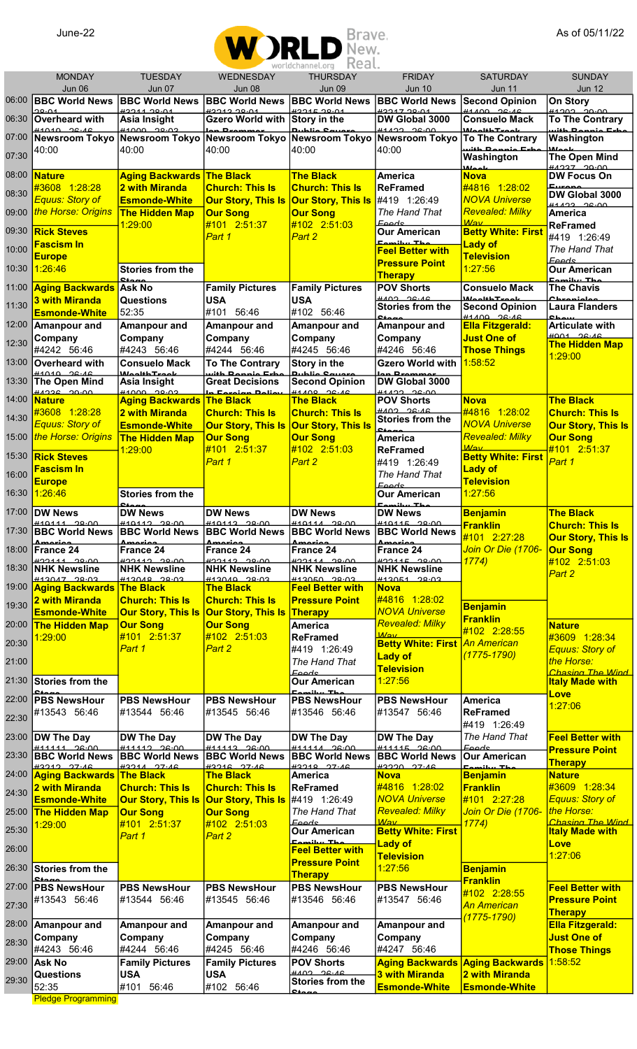

|       | <b>MONDAY</b><br>Jun 06                                | <b>TUESDAY</b>                                      | <b>WEDNESDAY</b><br>Jun 08                          | wul tutilamictiui y<br>$1.153$ and $1.15$<br><b>THURSDAY</b><br>Jun 09         | <b>FRIDAY</b><br><b>Jun 10</b>                   | <b>SATURDAY</b>                                  | <b>SUNDAY</b><br><b>Jun 12</b>               |
|-------|--------------------------------------------------------|-----------------------------------------------------|-----------------------------------------------------|--------------------------------------------------------------------------------|--------------------------------------------------|--------------------------------------------------|----------------------------------------------|
| 06:00 | <b>BBC World News</b>                                  | Jun 07<br><b>BBC World News</b>                     | <b>BBC World News</b>                               | <b>BBC World News</b>                                                          | <b>BBC World News</b>                            | Jun 11<br><b>Second Opinion</b>                  | On Story                                     |
| 06:30 | 20.01<br>Overheard with                                | $+221120.01$<br>Asia Insight                        | H221220.01<br><b>Gzero World with</b>               | 0.0015<br>Story in the                                                         | <b>422172001</b><br>DW Global 3000               | $41100 - 26.16$<br><b>Consuelo Mack</b>          | <b>ALCOC COCAL</b><br><b>To The Contrary</b> |
| 07:00 | $\frac{44040}{26.46}$<br><b>Newsroom Tokyo</b>         | Newsroom Tokyo Newsroom Tokyo Newsroom Tokyo        | lon Drommor                                         | بسف مثلطينه                                                                    | 41122 26.00<br><b>Newsroom Tokyo</b>             | <i>Macdith Treable</i><br><b>To The Contrary</b> | uith Donnie Eshe<br>Washington               |
| 07:30 | 40:00                                                  | 40:00                                               | 40:00                                               | 40:00                                                                          | 40:00                                            | uith Dannie Erh<br>Washington                    | $M_{\odot}$<br><b>The Open Mind</b>          |
| 08:00 | <b>Nature</b>                                          | <b>Aging Backwards The Black</b>                    |                                                     | <b>The Black</b>                                                               | <b>America</b>                                   | علممانانا<br><b>Nova</b>                         | moor ceal<br><b>DW Focus On</b>              |
| 08:30 | #3608 1:28:28                                          | <b>2 with Miranda</b>                               | <b>Church: This Is</b>                              | <b>Church: This Is</b>                                                         | <b>ReFramed</b>                                  | #4816 1:28:02                                    |                                              |
|       | Equus: Story of                                        | <b>Esmonde-White</b>                                | <b>Our Story, This Is</b>                           | <b>Our Story, This Is</b>                                                      | #419 1:26:49                                     | <b>NOVA Universe</b>                             | DW Global 3000<br>$0.92 - 26.00$             |
| 09:00 | the Horse: Origins                                     | <b>The Hidden Map</b><br>1:29:00                    | <b>Our Song</b><br>#101 2:51:37                     | <b>Our Song</b><br>#102 2:51:03                                                | The Hand That<br><b>Feeds</b>                    | <b>Revealed: Milky</b><br>Mav                    | <b>America</b><br><b>ReFramed</b>            |
| 09:30 | <b>Rick Steves</b><br><b>Fascism In</b>                |                                                     | Part 1                                              | Part 2                                                                         | Our American<br>Fomilur The                      | <b>Betty White: First</b><br><b>Lady of</b>      | #419 1:26:49                                 |
| 10:00 | <b>Europe</b>                                          |                                                     |                                                     |                                                                                | <b>Feel Better with</b><br><b>Pressure Point</b> | <b>Television</b>                                | The Hand That<br><b>Feeds</b>                |
| 10:30 | 1:26:46                                                | <b>Stories from the</b>                             |                                                     |                                                                                | <b>Therapy</b>                                   | 1:27:56                                          | <b>Our American</b><br>مطلب بيدائموها        |
| 11:00 | <b>Aging Backwards Ask No</b><br><b>3 with Miranda</b> |                                                     | <b>Family Pictures</b>                              | <b>Family Pictures</b>                                                         | <b>POV Shorts</b><br>HAO2, 26.16                 | <b>Consuelo Mack</b><br>Moolth Troop             | <b>The Chavis</b><br><b>Chronicles</b>       |
| 11:30 | <b>Esmonde-White</b>                                   | Questions<br>52:35                                  | <b>USA</b><br>#101 56:46                            | <b>USA</b><br>#102 56:46                                                       | <b>Stories from the</b><br>$C_{\text{data}}$     | <b>Second Opinion</b><br>$\frac{44400}{28.46}$   | <b>Laura Flanders</b><br><b>OL</b>           |
| 12:00 | <b>Amanpour and</b>                                    | Amanpour and                                        | Amanpour and                                        | Amanpour and                                                                   | <b>Amanpour and</b>                              | <b>Ella Fitzgerald:</b>                          | <b>Articulate with</b>                       |
| 12:30 | Company<br>#4242 56:46                                 | Company<br>#4243 56:46                              | Company<br>#4244 56:46                              | Company<br>#4245 56:46                                                         | Company<br>#4246 56:46                           | <b>Just One of</b><br><b>Those Things</b>        | $H$ 001 $26.16$<br><b>The Hidden Map</b>     |
| 13:00 | Overheard with                                         | <b>Consuelo Mack</b>                                | <b>To The Contrary</b>                              | Story in the                                                                   | <b>Gzero World with</b>                          | 1:58:52                                          | 1:29:00                                      |
| 13:30 | $\frac{44040}{26.46}$<br><b>The Open Mind</b>          | علم معتظفا ممالئا<br>Asia Insight                   | uith Donnie<br>Evh<br><b>Great Decisions</b>        | <b>Second Opinion</b>                                                          | DW Global 3000                                   |                                                  |                                              |
| 14:00 | $\frac{\mu}{\mu}$<br><b>Nature</b>                     | <b>Aging Backwards</b>                              | In Foreign Dolio<br><b>The Black</b>                | $41100 \t 26.16$<br><b>The Black</b>                                           | $\frac{111122}{200}$<br><b>POV Shorts</b>        | <b>Nova</b>                                      | <b>The Black</b>                             |
| 14:30 | #3608 1:28:28                                          | <b>2 with Miranda</b>                               | <b>Church: This Is</b>                              | <b>Church: This Is</b>                                                         | HAO2, 26.16<br><b>Stories from the</b>           | #4816 1:28:02                                    | <b>Church: This Is</b>                       |
| 15:00 | Equus: Story of<br>the Horse: Origins                  | <b>Esmonde-White</b><br><b>The Hidden Map</b>       | <b>Our Story, This Is</b><br><b>Our Song</b>        | <b>Our Story, This Is</b><br><b>Our Song</b>                                   | مممنع<br><b>America</b>                          | <b>NOVA Universe</b><br>Revealed: Milky          | <b>Our Story, This Is</b><br><b>Our Song</b> |
| 15:30 | <b>Rick Steves</b>                                     | 1:29:00                                             | #101 2:51:37                                        | #102 2:51:03                                                                   | <b>ReFramed</b>                                  | M/av<br><b>Betty White: First</b>                | #101 2:51:37                                 |
| 16:00 | <b>Fascism In</b>                                      |                                                     | Part 1                                              | Part 2                                                                         | #419 1:26:49<br>The Hand That                    | <b>Lady of</b>                                   | Part 1                                       |
|       | <b>Europe</b>                                          |                                                     |                                                     |                                                                                | <b>Feeds</b>                                     | <b>Television</b>                                |                                              |
| 16:30 | 1:26:46                                                | Stories from the                                    |                                                     |                                                                                | <b>Our American</b><br>Eamihu Th                 | 1:27:56                                          |                                              |
| 17:00 | <b>DW News</b><br>#40444 90.00                         | <b>DW News</b><br>$\frac{440442}{20.00}$            | <b>DW News</b><br>H10112 00.00                      | <b>DW News</b><br>#40444 29.00                                                 | <b>DW News</b><br>$#40445 - 29.00$               | <b>Benjamin</b><br><b>Franklin</b>               | <b>The Black</b><br><b>Church: This Is</b>   |
| 17:30 | <b>IBBC World News</b><br>ممتعمدهم                     | ممتعمدهم                                            | ممنعمده                                             | <b>BBC World News BBC World News BBC World News BBC World News</b><br>ممتعمدهم |                                                  | #101 2:27:28                                     | <b>Our Story, This Is</b>                    |
| 18:00 | France 24<br>$\frac{422444}{20.00}$                    | France 24<br>$\frac{422112}{20.00}$                 | France 24<br>H22112 20.00                           | France 24<br>H221112200                                                        | France 24<br>$\frac{422115}{20.00}$              | Join Or Die (1706-<br>1774)                      | <b>Our Song</b><br>#102 2:51:03              |
| 18:30 | <b>NHK Newsline</b><br>H1201720002                     | <b>NHK Newsline</b><br>#12010 20.02                 | <b>NHK Newsline</b><br>$#12010 - 29.02$             | <b>NHK Newsline</b><br>0.0000                                                  | <b>NHK Newsline</b><br>#12051 20.02              |                                                  | Part 2                                       |
| 19:00 | <b>Aging Backwards</b>                                 | <b>The Black</b>                                    | <b>The Black</b>                                    | <b>Feel Better with</b>                                                        | <b>Nova</b>                                      |                                                  |                                              |
| 19:30 | 2 with Miranda<br><b>Esmonde-White</b>                 | <b>Church: This Is</b><br><b>Our Story, This Is</b> | <b>Church: This Is</b><br><b>Our Story, This Is</b> | <b>Pressure Point</b><br><b>Therapy</b>                                        | #4816 1:28:02<br><b>NOVA Universe</b>            | <b>Benjamin</b>                                  |                                              |
| 20:00 | <b>The Hidden Map</b>                                  | <b>Our Song</b>                                     | <b>Our Song</b>                                     | <b>America</b>                                                                 | <b>Revealed: Milky</b>                           | <b>Franklin</b><br>#102 2:28:55                  | <b>Nature</b>                                |
| 20:30 | 1:29:00                                                | #101 2:51:37<br>Part 1                              | #102 2:51:03<br>Part <sub>2</sub>                   | <b>ReFramed</b><br>#419 1:26:49                                                | $M$ av<br><b>Betty White: First</b>              | <u> An American</u>                              | #3609 1:28:34<br><b>Equus: Story of</b>      |
| 21:00 |                                                        |                                                     |                                                     | The Hand That                                                                  | <b>Lady of</b><br><b>Television</b>              | <u>(1775-1790)</u>                               | the Horse:                                   |
| 21:30 | <b>Stories from the</b>                                |                                                     |                                                     | <u> Feeds</u><br><b>Our American</b>                                           | 1:27:56                                          |                                                  | Chasing The Wind<br><b>Italy Made with</b>   |
| 22:00 | <b>PBS NewsHour</b>                                    | <b>PBS NewsHour</b>                                 | <b>PBS NewsHour</b>                                 | ملتسبانيوم<br><b>PBS NewsHour</b>                                              | <b>PBS NewsHour</b>                              | America                                          | Love                                         |
| 22:30 | #13543 56:46                                           | #13544 56:46                                        | #13545 56:46                                        | #13546 56:46                                                                   | #13547 56:46                                     | <b>ReFramed</b>                                  | 1:27:06                                      |
| 23:00 | DW The Day                                             | <b>DW The Day</b>                                   | <b>DW The Day</b>                                   | <b>DW The Day</b>                                                              | <b>DW The Day</b>                                | #419 1:26:49<br>The Hand That                    | <b>Feel Better with</b>                      |
| 23:30 | $\frac{444444}{2600}$<br><b>BBC World News</b>         | #11112 26.00<br><b>BBC World News</b>               | $411112 - 26.00$<br><b>BBC World News</b>           | #11111 26.00<br><b>BBC World News</b>                                          | $#11115 - 26.00$<br><b>BBC World News</b>        | Feeds<br><b>Our American</b>                     | <b>Pressure Point</b>                        |
| 24:00 | H2242 27.46<br><b>Aging Backwards</b>                  | $H224A$ $27.46$<br><b>The Black</b>                 | H2246 27.46<br><b>The Black</b>                     | H2210 27.46<br><b>America</b>                                                  | H2220 27.46<br><b>Nova</b>                       | مط <del>لب النائمو</del>                         | <b>Therapy</b><br><b>Nature</b>              |
| 24:30 | 2 with Miranda                                         | <b>Church: This Is</b>                              | <b>Church: This Is</b>                              | <b>ReFramed</b>                                                                | #4816 1:28:02                                    | <b>Benjamin</b><br><b>Franklin</b>               | #3609 1:28:34                                |
|       | <b>Esmonde-White</b>                                   | <b>Our Story, This Is</b>                           | <b>Our Story, This Is</b>                           | #419 1:26:49<br>The Hand That                                                  | <b>NOVA Universe</b><br><b>Revealed: Milky</b>   | #101 2:27:28<br>Join Or Die (1706-               | <b>Equus: Story of</b><br>the Horse:         |
| 25:00 | <b>The Hidden Map</b><br>1:29:00                       | <b>Our Song</b><br>#101 2:51:37                     | <b>Our Song</b><br>#102 2:51:03                     | <b>Eeeds</b>                                                                   | $M$ av                                           | 1774)                                            | Chasing The Wind                             |
| 25:30 |                                                        | Part 1                                              | Part 2                                              | <b>Our American</b><br>Fomilur The                                             | <b>Betty White: First</b><br><b>Lady of</b>      |                                                  | <b>Italy Made with</b><br>Love               |
| 26:00 |                                                        |                                                     |                                                     | <b>Feel Better with</b><br><b>Pressure Point</b>                               | <b>Television</b>                                |                                                  | 1:27:06                                      |
| 26:30 | <b>Stories from the</b>                                |                                                     |                                                     | <b>Therapy</b>                                                                 | 1:27:56                                          | <b>Benjamin</b><br><b>Franklin</b>               |                                              |
| 27:00 | <b>PBS NewsHour</b><br>#13543 56:46                    | <b>PBS NewsHour</b>                                 | <b>PBS NewsHour</b><br>#13545 56:46                 | <b>PBS NewsHour</b><br>#13546 56:46                                            | <b>PBS NewsHour</b><br>#13547 56:46              | #102 2:28:55                                     | <b>Feel Better with</b>                      |
| 27:30 |                                                        | #13544 56:46                                        |                                                     |                                                                                |                                                  | <b>An American</b>                               | <b>Pressure Point</b><br><b>Therapy</b>      |
| 28:00 | <b>Amanpour and</b>                                    | Amanpour and                                        | Amanpour and                                        | <b>Amanpour and</b>                                                            | <b>Amanpour and</b>                              | <mark>(1775-1790)</mark>                         | <b>Ella Fitzgerald:</b>                      |
| 28:30 | Company<br>#4243 56:46                                 | Company<br>#4244 56:46                              | Company<br>#4245 56:46                              | Company<br>#4246 56:46                                                         | Company<br>#4247 56:46                           |                                                  | <b>Just One of</b><br><b>Those Things</b>    |
| 29:00 | Ask No                                                 | <b>Family Pictures</b>                              | <b>Family Pictures</b>                              | <b>POV Shorts</b>                                                              |                                                  | Aging Backwards Aging Backwards                  | 1:58:52                                      |
| 29:30 | <b>Questions</b><br>52:35                              | <b>USA</b><br>#101 56:46                            | <b>USA</b><br>#102 56:46                            | HAO2, 26.46<br><b>Stories from the</b>                                         | 3 with Miranda<br><b>Esmonde-White</b>           | 2 with Miranda<br><b>Esmonde-White</b>           |                                              |
|       |                                                        |                                                     |                                                     |                                                                                |                                                  |                                                  |                                              |

**Pledge Programming**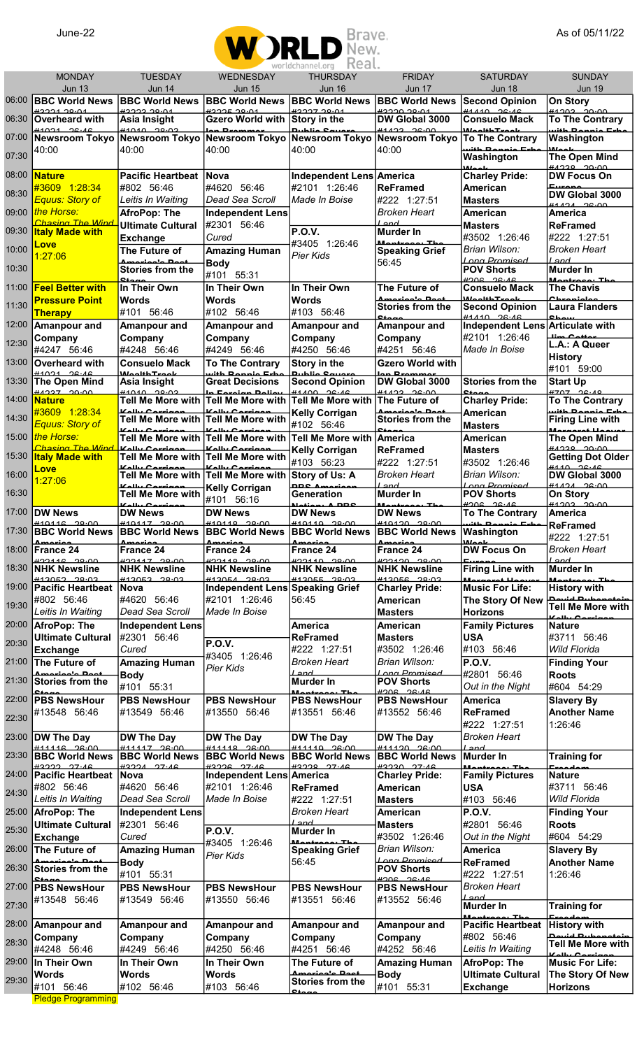

|       | <b>MONDAY</b><br><b>Jun 13</b>                 | <b>TUESDAY</b><br><b>Jun 14</b>                                                                         | <b>WEDNESDAY</b><br><b>Jun 15</b>                                   | WULLUCHOINICLUI U LA CULE<br><b>THURSDAY</b><br><b>Jun 16</b> | <b>FRIDAY</b><br><b>Jun 17</b>                                  | <b>SATURDAY</b><br><b>Jun 18</b>                            | <b>SUNDAY</b><br><b>Jun 19</b>                                              |
|-------|------------------------------------------------|---------------------------------------------------------------------------------------------------------|---------------------------------------------------------------------|---------------------------------------------------------------|-----------------------------------------------------------------|-------------------------------------------------------------|-----------------------------------------------------------------------------|
| 06:00 | <b>BBC World News</b>                          | <b>BBC World News</b>                                                                                   | <b>BBC World News</b>                                               | <b>BBC World News</b>                                         | <b>BBC World News</b>                                           | <b>Second Opinion</b>                                       | On Story                                                                    |
| 06:30 | H222120.01<br>Overheard with                   | <u> 2002 20.01 M</u><br>Asia Insight                                                                    | H2225.00.04<br>Gzero World with Story in the                        | H222200A                                                      | <b>0000000011</b><br>DW Global 3000                             | 4111000616<br><b>Consuelo Mack</b>                          | <b>41202 20.00</b><br><b>To The Contrary</b>                                |
| 07:00 | $\frac{44021}{26.46}$<br><b>Newsroom Tokyo</b> | <b>ALOID 00.02</b><br>Newsroom Tokyo Newsroom Tokyo Newsroom Tokyo                                      |                                                                     | معمسه وسلطينه                                                 | $0.92 - 26.00$<br><b>Newsroom Tokyo</b>                         | مام معا <b>قلت ال</b> معاقل<br><b>To The Contrary</b>       | uith Dennie Erhe<br>Washington                                              |
| 07:30 | 40:00                                          | 40:00                                                                                                   | 40:00                                                               | 40:00                                                         | 40:00                                                           | with Dannie Esh<br>Washington                               | <b>Algeb</b><br>The Open Mind                                               |
| 08:00 |                                                | <b>Pacific Heartbeat</b>                                                                                | <b>Nova</b>                                                         |                                                               |                                                                 | علممان                                                      | HADQQQQCDAA                                                                 |
|       | <b>Nature</b><br>#3609 1:28:34                 | #802 56:46                                                                                              | #4620 56:46                                                         | Independent Lens America<br>#2101 1:26:46                     | <b>ReFramed</b>                                                 | <b>Charley Pride:</b><br>American                           | <b>DW Focus On</b><br>Europe                                                |
| 08:30 | Equus: Story of                                | Leitis In Waiting                                                                                       | Dead Sea Scroll                                                     | Made In Boise                                                 | #222 1:27:51                                                    | <b>Masters</b>                                              | DW Global 3000<br>$41121$ $26.00$                                           |
| 09:00 | the Horse:<br>Chasing The Wind                 | AfroPop: The<br><b>Ultimate Cultural</b>                                                                | <b>Independent Lens</b><br>#2301 56:46                              |                                                               | <b>Broken Heart</b><br>Land                                     | American<br><b>Masters</b>                                  | America<br><b>ReFramed</b>                                                  |
| 09:30 | <b>Italy Made with</b>                         | <b>Exchange</b>                                                                                         | Cured                                                               | <b>P.O.V.</b>                                                 | <b>Murder In</b><br>Montrees, Th                                | #3502 1:26:46                                               | #222 1:27:51                                                                |
| 10:00 | Love<br>1:27:06                                | The Future of                                                                                           | <b>Amazing Human</b>                                                | #3405 1:26:46<br>Pier Kids                                    | <b>Speaking Grief</b>                                           | Brian Wilson:                                               | Broken Heart                                                                |
| 10:30 |                                                | فممتل مأممنسمسة<br><b>Stories from the</b>                                                              | <b>Body</b><br>#101 55:31                                           |                                                               | 56:45                                                           | Long Promised<br><b>POV Shorts</b>                          | Land<br><b>Murder In</b>                                                    |
| 11:00 | <b>Feel Better with</b>                        | $C_{\text{max}}$<br>In Their Own                                                                        | In Their Own                                                        | In Their Own                                                  | The Future of                                                   | 31.30 2004<br><b>Consuelo Mack</b>                          | Mantenan The<br><b>The Chavis</b>                                           |
| 11:30 | <b>Pressure Point</b>                          | <b>Words</b>                                                                                            | Words                                                               | <b>Words</b>                                                  | مأمم نسمعهم<br><b>Stories from the</b>                          | ر<br>علم مس <del>ل</del> طۂ ام م14<br><b>Second Opinion</b> | Chronicle<br><b>Laura Flanders</b>                                          |
| 12:00 | <u>Therapy</u><br>Amanpour and                 | #101 56:46<br>Amanpour and                                                                              | #102 56:46<br><b>Amanpour and</b>                                   | #103 56:46<br><b>Amanpour and</b>                             | 0.40<br>Amanpour and                                            | $#4440$ $26.46$<br>Independent Lens Articulate with         | Chou                                                                        |
| 12:30 | Company                                        | Company                                                                                                 | Company                                                             | Company                                                       | Company                                                         | #2101 1:26:46                                               | ممعدم معينا<br>L.A.: A Queer                                                |
| 13:00 | #4247 56:46                                    | #4248 56:46                                                                                             | #4249 56:46                                                         | #4250 56:46                                                   | #4251 56:46                                                     | Made In Boise                                               | <b>History</b>                                                              |
|       | <b>Overheard with</b><br>0.4021                | <b>Consuelo Mack</b><br>ما م مس <del>ل</del> ط فلم ما ۱۸                                                | <b>To The Contrary</b><br>uith Donnie<br>$E_{ab}$                   | Story in the                                                  | <b>Gzero World with</b>                                         |                                                             | #101 59:00                                                                  |
| 13:30 | <b>The Open Mind</b><br>HAD27, Q0.00           | Asia Insight<br>0.02 141010                                                                             | <b>Great Decisions</b><br>In Eassign Daliar                         | <b>Second Opinion</b><br>$41100$ $26.16$                      | DW Global 3000<br><b>A1122 26.00</b>                            | <b>Stories from the</b>                                     | <b>Start Up</b><br>#707 26.40                                               |
| 14:00 | <b>Nature</b><br>#3609 1:28:34                 | <b>Tell Me More with</b><br>Kally Cominan                                                               | Tell Me More with Tell Me More with<br>ممساسم المالم كا             | <b>Kelly Corrigan</b>                                         | The Future of<br>Americale <b>Doot</b>                          | <b>Charley Pride:</b><br>American                           | <b>To The Contrary</b><br>with Dannie Esk                                   |
| 14:30 | Equus: Story of                                | Tell Me More with<br>Kally Cominan                                                                      | Tell Me More with<br>Kally Cominai                                  | #102 56:46                                                    | <b>Stories from the</b><br>$\mathbf{c}_{\mathbf{f} \mathbf{a}}$ | <b>Masters</b>                                              | <b>Firing Line with</b><br>ملله مسمسم اللم                                  |
| 15:00 | the Horse:<br>Chasing The Wind                 | <b>Tell Me More with</b><br>تمنسم عبيللم أتأ                                                            | Tell Me More with Tell Me More with<br>Vally Company                |                                                               | <b>America</b>                                                  | American                                                    | <b>The Open Mind</b><br><u>00.00 مودمير</u>                                 |
| 15:30 | <b>Italy Made with</b>                         | <b>Tell Me More with</b>                                                                                | Tell Me More with                                                   | <b>Kelly Corrigan</b><br>#103 56:23                           | <b>ReFramed</b><br>#222 1:27:51                                 | <b>Masters</b><br>#3502 1:26:46                             | <b>Getting Dot Older</b>                                                    |
| 16:00 | Love<br>1:27:06                                | Kally Courinon                                                                                          | Vally Carriga<br>Tell Me More with Tell Me More with Story of Us: A |                                                               | <b>Broken Heart</b>                                             | Brian Wilson:                                               | $\frac{4440}{26.46}$<br>DW Global 3000                                      |
| 16:30 |                                                | فمعنسمة ببللمكا<br><b>Tell Me More with</b>                                                             | <b>Kelly Corrigan</b><br>#101 56:16                                 | <b>DDCA</b><br><b>Generation</b>                              | Land<br><b>Murder In</b>                                        | Long Promised<br><b>POV Shorts</b>                          | $41121$ $26.00$<br><b>On Story</b>                                          |
| 17:00 | <b>DW News</b>                                 | ممونسوع ببالمها<br><b>DW News</b>                                                                       | <b>DW News</b>                                                      | Nation, A DDC<br><b>DW News</b>                               | Montroop, The<br><b>DW News</b>                                 | $30.20$ $30.48$<br><b>To The Contrary</b>                   | $HADO2$ $QCDO$<br><b>America</b>                                            |
| 17:30 | $#40446 - 29.00$                               | #40447 29000<br>BBC World News BBC World News BBC World News BBC World News BBC World News   Washington | $#10110 - 20.00$                                                    | H10110 00.00                                                  | $#40420 - 29.00$                                                | with Donnie Erbe                                            | <b>ReFramed</b>                                                             |
| 18:00 | <b>Amarian</b><br>France 24                    | $A$ merica<br><b>France 24</b>                                                                          | <b>Amasian</b><br>France 24                                         | ممتعمده<br>France 24                                          | حماسمحسك<br>France 24                                           | علممانا<br><b>DW Focus On</b>                               | #222 1:27:51<br><b>Broken Heart</b>                                         |
| 18:30 | 0.00148<br><b>NHK Newsline</b>                 | $\frac{1}{2}$<br><b>NHK Newsline</b>                                                                    | $\frac{422110}{20000}$<br><b>NHK Newsline</b>                       | <b>NHK Newsline</b>                                           | <u> 2010 വാധ</u><br><b>NHK Newsline</b>                         | $E_{t}$<br><b>Firing Line with</b>                          | Land                                                                        |
|       | <b>ALONED CANCHH</b>                           | <b>AIRS CANCHH</b>                                                                                      | $H1205A$ 20.02                                                      | 0.005                                                         | <b>CO.OC SANCHH</b>                                             | <b>Moveses</b>                                              | <b>Murder In</b><br>Mantraaa, The                                           |
| 19:00 | <b>Pacific Heartbeat</b><br>#802 56:46         | <b>Nova</b><br>#4620 56:46                                                                              | Independent Lens Speaking Grief<br>#2101 1:26:46                    | 56:45                                                         | <b>Charley Pride:</b><br><b>American</b>                        | <b>Music For Life:</b><br>The Story Of New                  | <b>History with</b><br>حنم <del>دموموسط استم</del> صا<br> Tell Me More with |
| 19:30 | Leitis In Waiting                              | Dead Sea Scroll                                                                                         | Made In Boise                                                       |                                                               | <b>Masters</b>                                                  | <b>Horizons</b>                                             | Kally Caminan                                                               |
| 20:00 | <b>AfroPop: The</b>                            | <b>Independent Lens</b>                                                                                 |                                                                     | <b>America</b><br><b>ReFramed</b>                             | <b>American</b>                                                 | <b>Family Pictures</b>                                      | <b>Nature</b><br>#3711 56:46                                                |
| 20:30 | <b>Ultimate Cultural</b><br><b>Exchange</b>    | #2301 56:46<br>Cured                                                                                    | <b>P.O.V.</b>                                                       | #222 1:27:51                                                  | <b>Masters</b><br>#3502 1:26:46                                 | <b>USA</b><br>#103 56:46                                    | Wild Florida                                                                |
| 21:00 | The Future of                                  | <b>Amazing Human</b>                                                                                    | #3405 1:26:46<br><b>Pier Kids</b>                                   | <b>Broken Heart</b>                                           | Brian Wilson:                                                   | <b>P.O.V.</b>                                               | <b>Finding Your</b>                                                         |
| 21:30 | متاحم ما ممدده<br><b>Stories from the</b>      | <b>Body</b><br>#101 55:31                                                                               |                                                                     | Land<br><b>Murder In</b>                                      | Long Promised<br><b>POV Shorts</b>                              | #2801 56:46<br>Out in the Night                             | <b>Roots</b><br>#604 54:29                                                  |
| 22:00 | <b>PBS NewsHour</b>                            | <b>PBS NewsHour</b>                                                                                     | <b>PBS NewsHour</b>                                                 | مطالبه<br><b>PBS NewsHour</b>                                 | $30.20$ 200<br><b>PBS NewsHour</b>                              | <b>America</b>                                              | <b>Slavery By</b>                                                           |
| 22:30 | #13548 56:46                                   | #13549 56:46                                                                                            | #13550 56:46                                                        | #13551 56:46                                                  | #13552 56:46                                                    | <b>ReFramed</b>                                             | <b>Another Name</b>                                                         |
| 23:00 | <b>DW The Day</b>                              | <b>DW The Day</b>                                                                                       | <b>DW The Day</b>                                                   | DW The Day                                                    | <b>DW The Day</b>                                               | #222 1:27:51<br><b>Broken Heart</b>                         | 1:26:46                                                                     |
| 23:30 | 444446 26-00<br>BBC World News                 | 111117 26.00<br><b>BBC World News</b>                                                                   | #11110 26.00<br><b>BBC World News</b>                               | $#44440$ $96.00$<br><b>BBC World News</b>                     | 111120 26.00<br><b>BBC World News</b>                           | Land<br>Murder In                                           | <b>Training for</b>                                                         |
| 24:00 | H2222 27.46                                    | $H222A$ $27.46$                                                                                         | H2226 27.46                                                         | H2220 27.46                                                   | 20020 27.46                                                     |                                                             | Execde                                                                      |
|       | <b>Pacific Heartbeat</b><br>#802 56:46         | <b>Nova</b><br>#4620 56:46                                                                              | Independent Lens America<br>#2101 1:26:46                           | <b>ReFramed</b>                                               | <b>Charley Pride:</b><br><b>American</b>                        | <b>Family Pictures</b><br><b>USA</b>                        | <b>Nature</b><br>#3711 56:46                                                |
| 24:30 | Leitis In Waiting                              | Dead Sea Scroll                                                                                         | Made In Boise                                                       | #222 1:27:51                                                  | <b>Masters</b>                                                  | #103 56:46                                                  | Wild Florida                                                                |
| 25:00 | <b>AfroPop: The</b>                            | <b>Independent Lens</b><br>#2301 56:46                                                                  |                                                                     | <b>Broken Heart</b><br>Land                                   | <b>American</b>                                                 | <b>P.O.V.</b><br>#2801 56:46                                | <b>Finding Your</b><br><b>Roots</b>                                         |
| 25:30 | <b>Ultimate Cultural</b><br><b>Exchange</b>    | Cured                                                                                                   | <b>P.O.V.</b>                                                       | Murder In                                                     | <b>Masters</b><br>#3502 1:26:46                                 | Out in the Night                                            | #604 54:29                                                                  |
| 26:00 | The Future of                                  | <b>Amazing Human</b>                                                                                    | #3405 1:26:46<br><b>Pier Kids</b>                                   | Mantraaa Th<br><b>Speaking Grief</b>                          | Brian Wilson:                                                   | <b>America</b>                                              | <b>Slavery By</b>                                                           |
| 26:30 | متاحم ما ممدده<br><b>Stories from the</b>      | <b>Body</b><br>#101 55:31                                                                               |                                                                     | 56:45                                                         | Long Promised<br><b>POV Shorts</b>                              | <b>ReFramed</b><br>#222 1:27:51                             | <b>Another Name</b><br>1:26:46                                              |
| 27:00 | <b>PBS NewsHour</b>                            | <b>PBS NewsHour</b>                                                                                     | <b>PBS NewsHour</b>                                                 | <b>PBS NewsHour</b>                                           | 30.30<br><b>PBS NewsHour</b>                                    | <b>Broken Heart</b>                                         |                                                                             |
| 27:30 | #13548 56:46                                   | #13549 56:46                                                                                            | #13550 56:46                                                        | #13551 56:46                                                  | #13552 56:46                                                    | land<br><b>Murder In</b>                                    | <b>Training for</b>                                                         |
| 28:00 | <b>Amanpour and</b>                            | Amanpour and                                                                                            | <b>Amanpour and</b>                                                 | Amanpour and                                                  | <b>Amanpour and</b>                                             | <b>Pacific Heartbeat</b>                                    | Execdes<br><b>History with</b>                                              |
| 28:30 | Company                                        | Company                                                                                                 | Company                                                             | Company                                                       | Company                                                         | #802 56:46                                                  | nevid Dubonatoin<br>Tell Me More with                                       |
| 29:00 | #4248 56:46                                    | #4249 56:46                                                                                             | #4250 56:46                                                         | #4251 56:46                                                   | #4252 56:46                                                     | Leitis In Waiting                                           | $V_1$                                                                       |
|       | In Their Own<br>Words                          | In Their Own<br><b>Words</b>                                                                            | In Their Own<br>Words                                               | The Future of<br>فممتل ماممنعممية                             | <b>Amazing Human</b><br><b>Body</b>                             | <b>AfroPop: The</b><br><b>Ultimate Cultural</b>             | <b>Music For Life:</b><br>The Story Of New                                  |
| 29:30 | #101 56:46                                     | #102 56:46                                                                                              | #103 56:46                                                          | Stories from the                                              | #101 55:31                                                      | <b>Exchange</b>                                             | <b>Horizons</b>                                                             |
|       | <b>Pledge Programming</b>                      |                                                                                                         |                                                                     |                                                               |                                                                 |                                                             |                                                                             |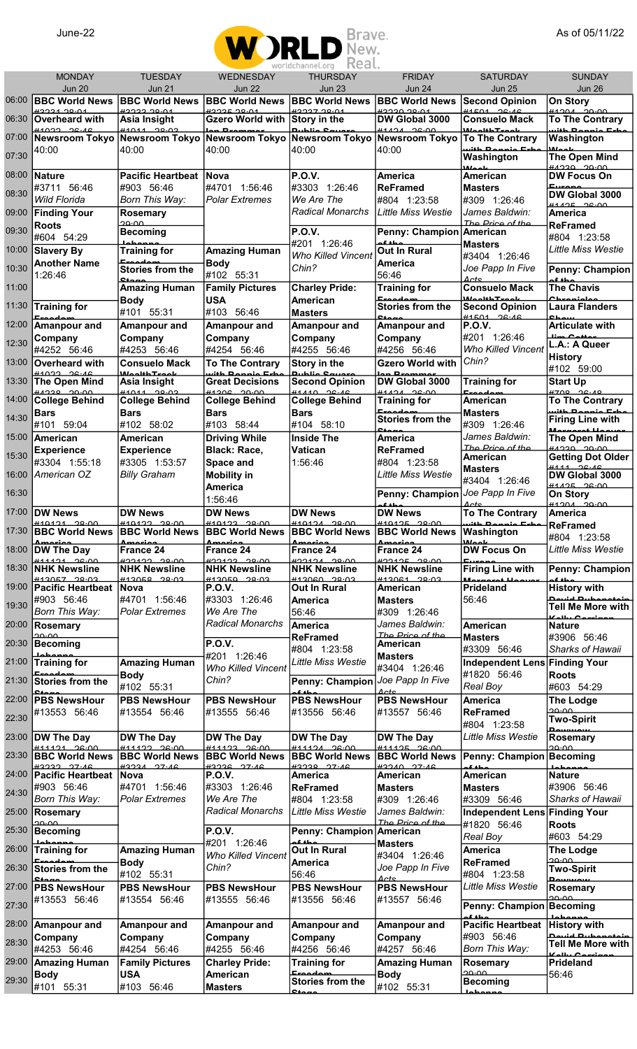

|                                           | <b>MONDAY</b><br><b>Jun 20</b>                 | <b>TUESDAY</b><br><b>Jun 21</b>                          | WEDNESDAY<br><b>Jun 22</b>                 | <b>THURSDAY</b><br><b>Jun 23</b>                                                            | <b>FRIDAY</b><br><b>Jun 24</b>                | <b>SATURDAY</b><br><b>Jun 25</b>                  | <b>SUNDAY</b><br><b>Jun 26</b>                      |
|-------------------------------------------|------------------------------------------------|----------------------------------------------------------|--------------------------------------------|---------------------------------------------------------------------------------------------|-----------------------------------------------|---------------------------------------------------|-----------------------------------------------------|
| 06:00                                     | <b>BBC World News</b>                          | <b>BBC World News</b>                                    | <b>BBC World News</b>                      | <b>BBC World News</b>                                                                       | <b>BBC World News</b>                         | <b>Second Opinion</b>                             | <b>On Story</b>                                     |
| 06:30                                     | 0.021<br>Overheard with                        | H222220.04<br>Asia Insight                               | H222520.04<br><b>Gzero World with</b>      | H222720.04<br>Story in the                                                                  | <b>AC.OC OCCCH</b><br>DW Global 3000          | H1501 26.16<br><b>Consuelo Mack</b>               | <b>ALOCAL AO-OA</b><br><b>To The Contrary</b>       |
| 07:00                                     | #1022 26.46<br><b>Newsroom Tokyo</b>           | <b>44044 20.02</b>                                       |                                            | Newsroom Tokyo Newsroom Tokyo Newsroom Tokyo Newsroom Tokyo                                 | H1121 26.00                                   | <i>Mankh Trande</i><br><b>To The Contrary</b>     | مم 10 ماءان،<br>Washington                          |
|                                           | 40:00                                          | 40:00                                                    | 40:00                                      | 40:00                                                                                       | 40:00                                         | منمسم داخلين                                      | علمما الا                                           |
| 07:30                                     |                                                |                                                          |                                            |                                                                                             |                                               | Washington<br>أمملها                              | <b>The Open Mind</b><br><b>ALCOC OCCAH</b>          |
| 08:00                                     | Nature<br>#3711 56:46                          | <b>Pacific Heartbeat</b><br>#903 56:46                   | <b>Nova</b><br>#4701 1:56:46               | <b>P.O.V.</b><br>#3303 1:26:46                                                              | <b>America</b><br>ReFramed                    | American<br><b>Masters</b>                        | <b>DW Focus On</b><br>Europe                        |
| 08:30                                     | <b>Wild Florida</b>                            | Born This Way:                                           | <b>Polar Extremes</b>                      | We Are The                                                                                  | #804 1:23:58                                  | #309 1:26:46                                      | DW Global 3000<br>0.205                             |
| 09:00                                     | <b>Finding Your</b>                            | <b>Rosemary</b>                                          |                                            | <b>Radical Monarchs</b>                                                                     | Little Miss Westie                            | James Baldwin:<br>The Price of the                | America                                             |
| 09:30                                     | <b>Roots</b><br>#604 54:29                     | ാറ.ററ<br><b>Becoming</b>                                 |                                            | <b>P.O.V.</b>                                                                               | Penny: Champion American                      |                                                   | <b>ReFramed</b><br>#804 1:23:58                     |
| 10:00                                     | <b>Slavery By</b>                              | <b>Training for</b>                                      | <b>Amazing Human</b>                       | #201 1:26:46<br><b>Who Killed Vincent</b>                                                   | مطه کم<br>Out In Rural                        | <b>Masters</b>                                    | <b>Little Miss Westie</b>                           |
| 10:30                                     | <b>Another Name</b>                            | Exportant<br><b>Stories from the</b>                     | <b>Body</b>                                | Chin?                                                                                       | <b>America</b>                                | #3404 1:26:46<br>Joe Papp In Five                 | Penny: Champion                                     |
| 11:00                                     | 1:26:46                                        | $C_{\text{A}}$<br><b>Amazing Human</b>                   | #102 55:31<br><b>Family Pictures</b>       | <b>Charley Pride:</b>                                                                       | 56:46<br><b>Training for</b>                  | $\Delta$ cte<br><b>Consuelo Mack</b>              | <b>The Chavis</b>                                   |
| 11:30                                     | <b>Training for</b>                            | <b>Body</b>                                              | <b>USA</b>                                 | American                                                                                    | Execator<br><b>Stories from the</b>           | <i>Manuth Tunnle</i><br><b>Second Opinion</b>     | ملمنممعمات<br><b>Laura Flanders</b>                 |
|                                           | مت                                             | #101 55:31                                               | #103 56:46                                 | <b>Masters</b>                                                                              | ٥ú                                            | H1501 26.16                                       | <b>OL</b>                                           |
| 12:00                                     | Amanpour and<br>Company                        | Amanpour and<br>Company                                  | Amanpour and<br>Company                    | <b>Amanpour and</b><br>Company                                                              | Amanpour and<br>Company                       | P.O.V.<br>#201 1:26:46                            | <b>Articulate with</b><br>lim Catta                 |
| 12:30                                     | #4252 56:46                                    | #4253 56:46                                              | #4254 56:46                                | #4255 56:46                                                                                 | #4256 56:46                                   | <b>Who Killed Vincent</b>                         | L.A.: A Queer<br><b>History</b>                     |
| 13:00                                     | Overheard with<br>H1022 26.16                  | <b>Consuelo Mack</b><br>بلم مي <del>تر ب</del> افا م ماي | <b>To The Contrary</b><br>منحدمك حافنت     | Story in the<br>مع مناطبره                                                                  | <b>Gzero World with</b><br>بمصصصه فرما        | Chin?                                             | #102 59:00                                          |
| 13:30                                     | <b>The Open Mind</b><br>00.00 02:44            | Asia Insight<br><b>44044 29.02</b>                       | <b>Great Decisions</b><br>$H1206 - 20.00$  | <b>Second Opinion</b><br>41110 26.16                                                        | DW Global 3000<br>H1121 26.00                 | <b>Training for</b>                               | <b>Start Up</b><br>4700 26.40                       |
| 14:00                                     | <b>College Behind</b>                          | <b>College Behind</b>                                    | <b>College Behind</b>                      | <b>College Behind</b>                                                                       | <b>Training for</b>                           | American                                          | <b>To The Contrary</b>                              |
| 14:30                                     | <b>Bars</b><br>#101<br>59:04                   | <b>Bars</b><br>#102 58:02                                | Bars<br>#103 58:44                         | <b>Bars</b><br>#104 58:10                                                                   | Execatom<br><b>Stories from the</b>           | <b>Masters</b><br>#309 1:26:46                    | with Donnie Erk<br><b>Firing Line with</b>          |
| 15:00                                     | American                                       | American                                                 | <b>Driving While</b>                       | <b>Inside The</b>                                                                           | مەھ<br><b>America</b>                         | James Baldwin:                                    | <u> Maxaaxat l</u><br><b>The Open Mind</b>          |
| 15:30                                     | <b>Experience</b>                              | <b>Experience</b>                                        | Black: Race,                               | <b>Vatican</b>                                                                              | <b>ReFramed</b>                               | The Price of the<br>American                      | <u> ANOSO OCCNH</u><br><b>Getting Dot Older</b>     |
| 16:00                                     | #3304 1:55:18<br>American OZ                   | #3305 1:53:57<br><b>Billy Graham</b>                     | Space and<br><b>Mobility in</b>            | 1:56:46                                                                                     | #804 1:23:58<br><b>Little Miss Westie</b>     | <b>Masters</b>                                    | <u> 4111 0 c.10</u><br>DW Global 3000               |
|                                           |                                                |                                                          | America                                    |                                                                                             |                                               | #3404 1:26:46                                     | 0.205                                               |
| 16:30                                     |                                                |                                                          | 1:56:46                                    |                                                                                             | Penny: Champion                               | Joe Papp In Five<br>Actc                          | <b>On Story</b><br>$\frac{\mu_{4,004}}{\mu_{1000}}$ |
| 17:00                                     | <b>DW News</b><br>$#10121 - 29.00$             | <b>DW News</b><br>$#10122 - 20.00$                       | <b>DW News</b><br><b>00.00 CCPOF#</b>      | <b>DW News</b><br>H10121 20.00                                                              | <b>DW News</b><br>$#10125 - 20.00$            | <b>To The Contrary</b><br>Dannie Eshe             | <b>America</b><br><b>ReFramed</b>                   |
|                                           | ممنعمده                                        | ممتعمدهم                                                 | ممتعمده                                    | 17:30 BBC World News BBC World News BBC World News BBC World News BBC World News Washington |                                               |                                                   | #804 1:23:58                                        |
|                                           |                                                |                                                          |                                            |                                                                                             |                                               |                                                   |                                                     |
| 18:00                                     | <b>DW The Day</b>                              | <b>France 24</b>                                         | <b>France 24</b>                           | ممتعمده<br><b>France 24</b>                                                                 | ممنعمده<br>France 24                          | علمملأنا<br><b>DW Focus On</b>                    | <b>Little Miss Westie</b>                           |
| 18:30                                     | $\frac{444494}{200}$<br><b>NHK Newsline</b>    | <b>00.00 CCLCCH</b><br><b>NHK Newsline</b>               | <b>00.00 CCLCCH</b><br><b>NHK Newsline</b> | 0.00121<br><b>NHK Newsline</b>                                                              | $\frac{422425}{28000}$<br><b>NHK Newsline</b> | <b>Firing Line with</b>                           | Penny: Champion                                     |
| 19:00                                     | H120E7 20.02<br><b>Pacific Heartbeat Nova</b>  | H420EQ 20.02                                             | 0.02 0.412050<br><b>P.O.V.</b>             | H120000000<br>Out In Rural                                                                  | #12061 20.02<br><b>American</b>               | <i><u><b>Moxesset</b></u></i><br><b>Prideland</b> | <b>History with</b>                                 |
| 19:30                                     | #903 56:46                                     | #4701 1:56:46                                            | #3303 1:26:46                              | <b>America</b>                                                                              | Masters                                       | 56:46                                             | مان به امتین به ا<br><b>Tell Me More with</b>       |
| 20:00                                     | Born This Way:                                 | Polar Extremes                                           | We Are The<br>Radical Monarchs             | 56:46<br><b>America</b>                                                                     | #309 1:26:46<br>James Baldwin:                | <b>American</b>                                   | منسمت ببالمكا<br><b>Nature</b>                      |
|                                           | <b>Rosemary</b><br>ാറ.ററ                       |                                                          |                                            | <b>ReFramed</b>                                                                             | The Price of the                              | <b>Masters</b>                                    | #3906 56:46                                         |
| 20:30                                     | <b>Becoming</b>                                |                                                          | <b>P.O.V.</b><br>#201 1:26:46              | #804 1:23:58                                                                                | American<br>Masters                           | #3309 56:46                                       | Sharks of Hawaii                                    |
| 21:00                                     | <del>Johanne</del><br>Training for<br>Execadem | Amazing Human<br><b>Body</b>                             | <b>Who Killed Vincent</b>                  | Little Miss Westie                                                                          | #3404 1:26:46                                 | Independent Lens Finding Your<br>#1820 56:46      | <b>Roots</b>                                        |
| 21:30                                     | Stories from the                               | #102 55:31                                               | Chin?                                      | Penny: Champion Joe Papp In Five                                                            | Actc                                          | Real Boy                                          | #603 54:29                                          |
| 22:00                                     | <b>PBS NewsHour</b>                            | <b>PBS NewsHour</b>                                      | <b>PBS NewsHour</b>                        | <b>PBS NewsHour</b>                                                                         | <b>PBS NewsHour</b>                           | <b>America</b>                                    | The Lodge<br>ാറ.ററ                                  |
|                                           | #13553 56:46                                   | #13554 56:46                                             | #13555 56:46                               | #13556 56:46                                                                                | #13557 56:46                                  | <b>ReFramed</b><br>#804 1:23:58                   | <b>Two-Spirit</b>                                   |
|                                           | <b>DW The Day</b>                              | <b>DW The Day</b>                                        | DW The Day                                 | <b>DW The Day</b>                                                                           | <b>DW The Day</b>                             | <b>Little Miss Westie</b>                         | <b>Demonding</b><br><b>Rosemary</b>                 |
|                                           | $\frac{444494}{200}$<br><b>BBC World News</b>  | #11122 200<br><b>BBC World News</b>                      | 0.001<br><b>BBC World News</b>             | 411121 2600<br><b>BBC World News</b>                                                        | 411125200<br><b>BBC World News</b>            | Penny: Champion Becoming                          | ممنوط                                               |
| 22:30<br>23:00<br>23:30<br>24:00          | H2222 27.46<br>Pacific Heartbeat Nova          | $H222A$ $77.46$                                          | 42226 27.46<br><b>P.O.V.</b>               | H2220 27.46<br>America                                                                      | $H22AO$ $27·AC$<br>American                   | مطه کم<br>American                                | <b>Nature</b>                                       |
| 24:30                                     | #903 56:46                                     | #4701 1:56:46                                            | #3303 1:26:46                              | <b>ReFramed</b>                                                                             | Masters                                       | <b>Masters</b>                                    | #3906 56:46                                         |
|                                           | Born This Way:                                 | Polar Extremes                                           | We Are The<br>Radical Monarchs             | #804 1:23:58<br>Little Miss Westie                                                          | #309 1:26:46<br>James Baldwin:                | #3309 56:46                                       | <b>Sharks of Hawaii</b>                             |
|                                           | <b>Rosemary</b><br>مم.مح                       |                                                          |                                            |                                                                                             | The Price of the                              | Independent Lens Finding Your<br>#1820 56:46      | <b>Roots</b>                                        |
| 25:00<br>25:30                            | <b>Becoming</b>                                |                                                          | <b>P.O.V.</b><br>#201 1:26:46              | Penny: Champion American<br>حطه هم                                                          | <b>Masters</b>                                | Real Boy                                          | #603 54:29                                          |
|                                           | <del>Johanne</del><br>Training for<br>لمعال    | Amazing Human<br><b>Body</b>                             | <b>Who Killed Vincent</b>                  | <b>Out In Rural</b><br><b>America</b>                                                       | #3404 1:26:46                                 | <b>America</b><br><b>ReFramed</b>                 | The Lodge<br>ാറ.ററ                                  |
|                                           | <b>Stories from the</b>                        | #102 55:31                                               | Chin?                                      | 56:46                                                                                       | Joe Papp In Five<br>Actc                      | #804 1:23:58                                      | <b>Two-Spirit</b><br>سميسيمه                        |
|                                           | <b>PBS NewsHour</b>                            | <b>PBS NewsHour</b>                                      | <b>PBS NewsHour</b>                        | <b>PBS NewsHour</b>                                                                         | <b>PBS NewsHour</b>                           | <b>Little Miss Westie</b>                         | <b>Rosemary</b><br>ممنوط                            |
|                                           | #13553 56:46                                   | #13554 56:46                                             | #13555 56:46                               | #13556 56:46                                                                                | #13557 56:46                                  | Penny: Champion Becoming<br>مطفقه                 |                                                     |
| 26:00<br>26:30<br>27:00<br>27:30<br>28:00 | Amanpour and                                   | Amanpour and                                             | Amanpour and                               | <b>Amanpour and</b>                                                                         | Amanpour and                                  | <b>Pacific Heartbeat</b>                          | <b>History with</b>                                 |
| 28:30                                     | Company<br>#4253 56:46                         | Company<br>#4254 56:46                                   | Company<br>#4255 56:46                     | Company<br>#4256 56:46                                                                      | Company<br>#4257 56:46                        | #903 56:46<br>Born This Way:                      | بمعتمليتها أمشتم<br><b>Tell Me More with</b>        |
| 29:00                                     | <b>Amazing Human</b>                           | <b>Family Pictures</b>                                   | <b>Charley Pride:</b>                      | <b>Training for</b>                                                                         | <b>Amazing Human</b>                          | Rosemary                                          | فأستماع بالماته<br>Prideland                        |
| 29:30                                     | <b>Body</b><br>#101 55:31                      | <b>USA</b><br>#103 56:46                                 | American<br><b>Masters</b>                 | <b>Stories from the</b>                                                                     | <b>Body</b><br>#102 55:31                     | ാറ.ററ<br><b>Becoming</b>                          | 56:46                                               |